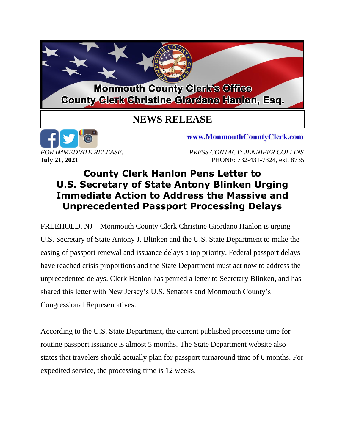## **Monmouth County Clerk's Office County Clerk Christine Giordano Hanlon, Esq.**

## **NEWS RELEASE**



www.MonmouthCountyClerk.com

*FOR IMMEDIATE RELEASE: PRESS CONTACT: JENNIFER COLLINS* **July 21, 2021 PHONE: 732-431-7324, ext. 8735** 

## **County Clerk Hanlon Pens Letter to U.S. Secretary of State Antony Blinken Urging Immediate Action to Address the Massive and Unprecedented Passport Processing Delays**

FREEHOLD, NJ – Monmouth County Clerk Christine Giordano Hanlon is urging U.S. Secretary of State Antony J. Blinken and the U.S. State Department to make the easing of passport renewal and issuance delays a top priority. Federal passport delays have reached crisis proportions and the State Department must act now to address the unprecedented delays. Clerk Hanlon has penned a letter to Secretary Blinken, and has shared this letter with New Jersey's U.S. Senators and Monmouth County's Congressional Representatives.

According to the U.S. State Department, the current published processing time for routine passport issuance is almost 5 months. The State Department website also states that travelers should actually plan for passport turnaround time of 6 months. For expedited service, the processing time is 12 weeks.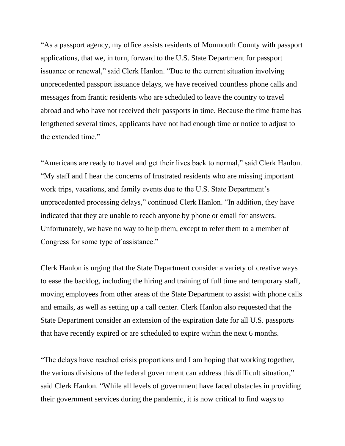"As a passport agency, my office assists residents of Monmouth County with passport applications, that we, in turn, forward to the U.S. State Department for passport issuance or renewal," said Clerk Hanlon. "Due to the current situation involving unprecedented passport issuance delays, we have received countless phone calls and messages from frantic residents who are scheduled to leave the country to travel abroad and who have not received their passports in time. Because the time frame has lengthened several times, applicants have not had enough time or notice to adjust to the extended time."

"Americans are ready to travel and get their lives back to normal," said Clerk Hanlon. "My staff and I hear the concerns of frustrated residents who are missing important work trips, vacations, and family events due to the U.S. State Department's unprecedented processing delays," continued Clerk Hanlon. "In addition, they have indicated that they are unable to reach anyone by phone or email for answers. Unfortunately, we have no way to help them, except to refer them to a member of Congress for some type of assistance."

Clerk Hanlon is urging that the State Department consider a variety of creative ways to ease the backlog, including the hiring and training of full time and temporary staff, moving employees from other areas of the State Department to assist with phone calls and emails, as well as setting up a call center. Clerk Hanlon also requested that the State Department consider an extension of the expiration date for all U.S. passports that have recently expired or are scheduled to expire within the next 6 months.

"The delays have reached crisis proportions and I am hoping that working together, the various divisions of the federal government can address this difficult situation," said Clerk Hanlon. "While all levels of government have faced obstacles in providing their government services during the pandemic, it is now critical to find ways to